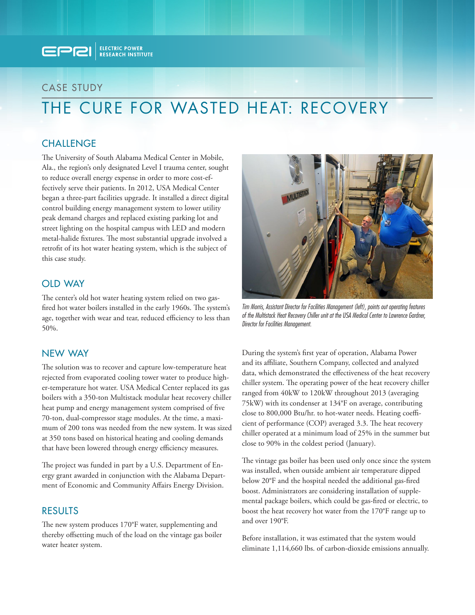

# CASE STUDY

# THE CURE FOR WASTED HEAT: RECOVERY

## **CHALLENGE**

The University of South Alabama Medical Center in Mobile, Ala., the region's only designated Level I trauma center, sought to reduce overall energy expense in order to more cost-effectively serve their patients. In 2012, USA Medical Center began a three-part facilities upgrade. It installed a direct digital control building energy management system to lower utility peak demand charges and replaced existing parking lot and street lighting on the hospital campus with LED and modern metal-halide fixtures. The most substantial upgrade involved a retrofit of its hot water heating system, which is the subject of this case study.

## OLD WAY

The center's old hot water heating system relied on two gasfired hot water boilers installed in the early 1960s. The system's age, together with wear and tear, reduced efficiency to less than 50%.

### NEW WAY

The solution was to recover and capture low-temperature heat rejected from evaporated cooling tower water to produce higher-temperature hot water. USA Medical Center replaced its gas boilers with a 350-ton Multistack modular heat recovery chiller heat pump and energy management system comprised of five 70-ton, dual-compressor stage modules. At the time, a maximum of 200 tons was needed from the new system. It was sized at 350 tons based on historical heating and cooling demands that have been lowered through energy efficiency measures.

The project was funded in part by a U.S. Department of Energy grant awarded in conjunction with the Alabama Department of Economic and Community Affairs Energy Division.

#### RESULTS

The new system produces 170°F water, supplementing and thereby offsetting much of the load on the vintage gas boiler water heater system.



*Tim Morris, Assistant Director for Facilities Management (left), points out operating features of the Multistack Heat Recovery Chiller unit at the USA Medical Center to Lawrence Gardner, Director for Facilities Management.*

During the system's first year of operation, Alabama Power and its affiliate, Southern Company, collected and analyzed data, which demonstrated the effectiveness of the heat recovery chiller system. The operating power of the heat recovery chiller ranged from 40kW to 120kW throughout 2013 (averaging 75kW) with its condenser at 134°F on average, contributing close to 800,000 Btu/hr. to hot-water needs. Heating coefficient of performance (COP) averaged 3.3. The heat recovery chiller operated at a minimum load of 25% in the summer but close to 90% in the coldest period (January).

The vintage gas boiler has been used only once since the system was installed, when outside ambient air temperature dipped below 20°F and the hospital needed the additional gas-fired boost. Administrators are considering installation of supplemental package boilers, which could be gas-fired or electric, to boost the heat recovery hot water from the 170°F range up to and over 190°F.

Before installation, it was estimated that the system would eliminate 1,114,660 lbs. of carbon-dioxide emissions annually.